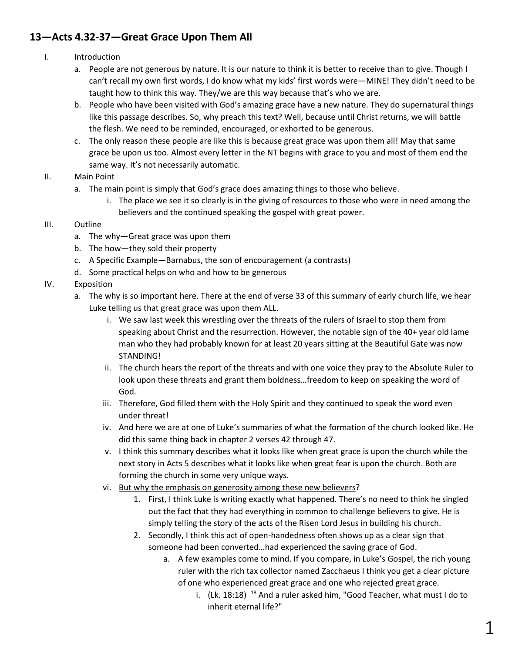## **13—Acts 4.32-37—Great Grace Upon Them All**

- I. Introduction
	- a. People are not generous by nature. It is our nature to think it is better to receive than to give. Though I can't recall my own first words, I do know what my kids' first words were—MINE! They didn't need to be taught how to think this way. They/we are this way because that's who we are.
	- b. People who have been visited with God's amazing grace have a new nature. They do supernatural things like this passage describes. So, why preach this text? Well, because until Christ returns, we will battle the flesh. We need to be reminded, encouraged, or exhorted to be generous.
	- c. The only reason these people are like this is because great grace was upon them all! May that same grace be upon us too. Almost every letter in the NT begins with grace to you and most of them end the same way. It's not necessarily automatic.
- II. Main Point
	- a. The main point is simply that God's grace does amazing things to those who believe.
		- i. The place we see it so clearly is in the giving of resources to those who were in need among the believers and the continued speaking the gospel with great power.
- III. Outline
	- a. The why—Great grace was upon them
	- b. The how—they sold their property
	- c. A Specific Example—Barnabus, the son of encouragement (a contrasts)
	- d. Some practical helps on who and how to be generous
- IV. Exposition
	- a. The why is so important here. There at the end of verse 33 of this summary of early church life, we hear Luke telling us that great grace was upon them ALL.
		- i. We saw last week this wrestling over the threats of the rulers of Israel to stop them from speaking about Christ and the resurrection. However, the notable sign of the 40+ year old lame man who they had probably known for at least 20 years sitting at the Beautiful Gate was now STANDING!
		- ii. The church hears the report of the threats and with one voice they pray to the Absolute Ruler to look upon these threats and grant them boldness…freedom to keep on speaking the word of God.
		- iii. Therefore, God filled them with the Holy Spirit and they continued to speak the word even under threat!
		- iv. And here we are at one of Luke's summaries of what the formation of the church looked like. He did this same thing back in chapter 2 verses 42 through 47.
		- v. I think this summary describes what it looks like when great grace is upon the church while the next story in Acts 5 describes what it looks like when great fear is upon the church. Both are forming the church in some very unique ways.
		- vi. But why the emphasis on generosity among these new believers?
			- 1. First, I think Luke is writing exactly what happened. There's no need to think he singled out the fact that they had everything in common to challenge believers to give. He is simply telling the story of the acts of the Risen Lord Jesus in building his church.
			- 2. Secondly, I think this act of open-handedness often shows up as a clear sign that someone had been converted…had experienced the saving grace of God.
				- a. A few examples come to mind. If you compare, in Luke's Gospel, the rich young ruler with the rich tax collector named Zacchaeus I think you get a clear picture of one who experienced great grace and one who rejected great grace.
					- i.  $(Lk. 18:18)$  <sup>18</sup> And a ruler asked him, "Good Teacher, what must I do to inherit eternal life?"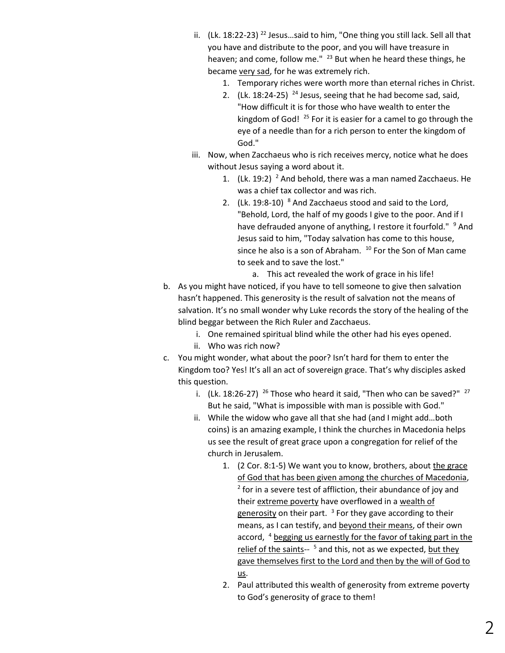- ii.  $(Lk. 18:22-23)$ <sup>22</sup> Jesus...said to him, "One thing you still lack. Sell all that you have and distribute to the poor, and you will have treasure in heaven; and come, follow me." <sup>23</sup> But when he heard these things, he became very sad, for he was extremely rich.
	- 1. Temporary riches were worth more than eternal riches in Christ.
	- 2.  $(Lk. 18:24-25)$  <sup>24</sup> Jesus, seeing that he had become sad, said, "How difficult it is for those who have wealth to enter the kingdom of God!  $^{25}$  For it is easier for a camel to go through the eye of a needle than for a rich person to enter the kingdom of God."
- iii. Now, when Zacchaeus who is rich receives mercy, notice what he does without Jesus saying a word about it.
	- 1.  $(Lk. 19:2)^2$  And behold, there was a man named Zacchaeus. He was a chief tax collector and was rich.
	- 2.  $(Lk. 19:8-10)$   $8$  And Zacchaeus stood and said to the Lord, "Behold, Lord, the half of my goods I give to the poor. And if I have defrauded anyone of anything, I restore it fourfold." <sup>9</sup> And Jesus said to him, "Today salvation has come to this house, since he also is a son of Abraham.  $10$  For the Son of Man came to seek and to save the lost."

a. This act revealed the work of grace in his life!

- b. As you might have noticed, if you have to tell someone to give then salvation hasn't happened. This generosity is the result of salvation not the means of salvation. It's no small wonder why Luke records the story of the healing of the blind beggar between the Rich Ruler and Zacchaeus.
	- i. One remained spiritual blind while the other had his eyes opened.
	- ii. Who was rich now?
- c. You might wonder, what about the poor? Isn't hard for them to enter the Kingdom too? Yes! It's all an act of sovereign grace. That's why disciples asked this question.
	- i. (Lk. 18:26-27)  $^{26}$  Those who heard it said, "Then who can be saved?"  $^{27}$ But he said, "What is impossible with man is possible with God."
	- ii. While the widow who gave all that she had (and I might add…both coins) is an amazing example, I think the churches in Macedonia helps us see the result of great grace upon a congregation for relief of the church in Jerusalem.
		- 1. (2 Cor. 8:1-5) We want you to know, brothers, about the grace of God that has been given among the churches of Macedonia,  $2$  for in a severe test of affliction, their abundance of joy and their extreme poverty have overflowed in a wealth of generosity on their part. <sup>3</sup> For they gave according to their means, as I can testify, and beyond their means, of their own accord, <sup>4</sup> begging us earnestly for the favor of taking part in the relief of the saints-- <sup>5</sup> and this, not as we expected, but they gave themselves first to the Lord and then by the will of God to us.
		- 2. Paul attributed this wealth of generosity from extreme poverty to God's generosity of grace to them!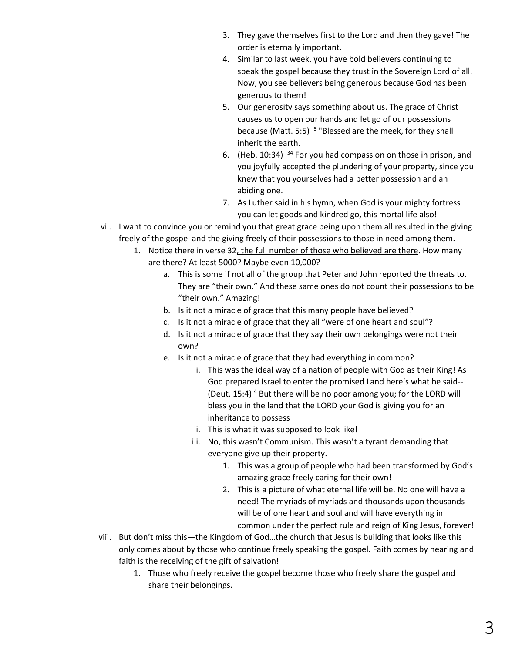- 3. They gave themselves first to the Lord and then they gave! The order is eternally important.
- 4. Similar to last week, you have bold believers continuing to speak the gospel because they trust in the Sovereign Lord of all. Now, you see believers being generous because God has been generous to them!
- 5. Our generosity says something about us. The grace of Christ causes us to open our hands and let go of our possessions because (Matt. 5:5) <sup>5</sup> "Blessed are the meek, for they shall inherit the earth.
- 6. (Heb. 10:34) <sup>34</sup> For you had compassion on those in prison, and you joyfully accepted the plundering of your property, since you knew that you yourselves had a better possession and an abiding one.
- 7. As Luther said in his hymn, when God is your mighty fortress you can let goods and kindred go, this mortal life also!
- vii. I want to convince you or remind you that great grace being upon them all resulted in the giving freely of the gospel and the giving freely of their possessions to those in need among them.
	- 1. Notice there in verse 32, the full number of those who believed are there. How many are there? At least 5000? Maybe even 10,000?
		- a. This is some if not all of the group that Peter and John reported the threats to. They are "their own." And these same ones do not count their possessions to be "their own." Amazing!
		- b. Is it not a miracle of grace that this many people have believed?
		- c. Is it not a miracle of grace that they all "were of one heart and soul"?
		- d. Is it not a miracle of grace that they say their own belongings were not their own?
		- e. Is it not a miracle of grace that they had everything in common?
			- i. This was the ideal way of a nation of people with God as their King! As God prepared Israel to enter the promised Land here's what he said-- (Deut. 15:4)<sup>4</sup> But there will be no poor among you; for the LORD will bless you in the land that the LORD your God is giving you for an inheritance to possess
			- ii. This is what it was supposed to look like!
			- iii. No, this wasn't Communism. This wasn't a tyrant demanding that everyone give up their property.
				- 1. This was a group of people who had been transformed by God's amazing grace freely caring for their own!
				- 2. This is a picture of what eternal life will be. No one will have a need! The myriads of myriads and thousands upon thousands will be of one heart and soul and will have everything in common under the perfect rule and reign of King Jesus, forever!
- viii. But don't miss this—the Kingdom of God…the church that Jesus is building that looks like this only comes about by those who continue freely speaking the gospel. Faith comes by hearing and faith is the receiving of the gift of salvation!
	- 1. Those who freely receive the gospel become those who freely share the gospel and share their belongings.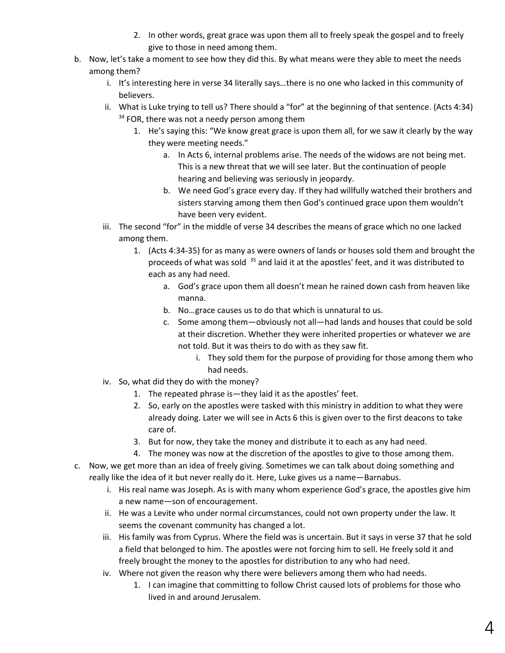- 2. In other words, great grace was upon them all to freely speak the gospel and to freely give to those in need among them.
- b. Now, let's take a moment to see how they did this. By what means were they able to meet the needs among them?
	- i. It's interesting here in verse 34 literally says…there is no one who lacked in this community of believers.
	- ii. What is Luke trying to tell us? There should a "for" at the beginning of that sentence. (Acts 4:34)  $34$  FOR, there was not a needy person among them
		- 1. He's saying this: "We know great grace is upon them all, for we saw it clearly by the way they were meeting needs."
			- a. In Acts 6, internal problems arise. The needs of the widows are not being met. This is a new threat that we will see later. But the continuation of people hearing and believing was seriously in jeopardy.
			- b. We need God's grace every day. If they had willfully watched their brothers and sisters starving among them then God's continued grace upon them wouldn't have been very evident.
	- iii. The second "for" in the middle of verse 34 describes the means of grace which no one lacked among them.
		- 1. (Acts 4:34-35) for as many as were owners of lands or houses sold them and brought the proceeds of what was sold <sup>35</sup> and laid it at the apostles' feet, and it was distributed to each as any had need.
			- a. God's grace upon them all doesn't mean he rained down cash from heaven like manna.
			- b. No…grace causes us to do that which is unnatural to us.
			- c. Some among them—obviously not all—had lands and houses that could be sold at their discretion. Whether they were inherited properties or whatever we are not told. But it was theirs to do with as they saw fit.
				- i. They sold them for the purpose of providing for those among them who had needs.
	- iv. So, what did they do with the money?
		- 1. The repeated phrase is—they laid it as the apostles' feet.
		- 2. So, early on the apostles were tasked with this ministry in addition to what they were already doing. Later we will see in Acts 6 this is given over to the first deacons to take care of.
		- 3. But for now, they take the money and distribute it to each as any had need.
		- 4. The money was now at the discretion of the apostles to give to those among them.
- c. Now, we get more than an idea of freely giving. Sometimes we can talk about doing something and really like the idea of it but never really do it. Here, Luke gives us a name—Barnabus.
	- i. His real name was Joseph. As is with many whom experience God's grace, the apostles give him a new name—son of encouragement.
	- ii. He was a Levite who under normal circumstances, could not own property under the law. It seems the covenant community has changed a lot.
	- iii. His family was from Cyprus. Where the field was is uncertain. But it says in verse 37 that he sold a field that belonged to him. The apostles were not forcing him to sell. He freely sold it and freely brought the money to the apostles for distribution to any who had need.
	- iv. Where not given the reason why there were believers among them who had needs.
		- 1. I can imagine that committing to follow Christ caused lots of problems for those who lived in and around Jerusalem.